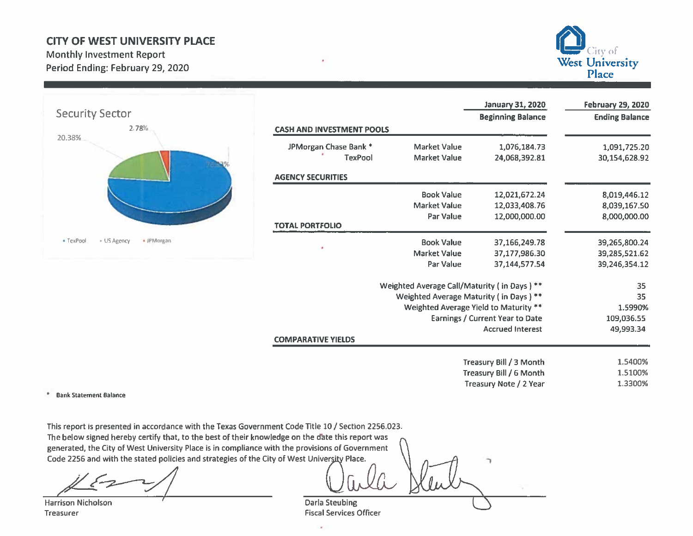## **CITY OF WEST UNIVERSITY PLACE**

**Monthly Investment Report** Period Ending: February 29, 2020





|                                  |                                             | <b>January 31, 2020</b>               | <b>February 29, 2020</b> |
|----------------------------------|---------------------------------------------|---------------------------------------|--------------------------|
|                                  |                                             | <b>Beginning Balance</b>              | <b>Ending Balance</b>    |
| <b>CASH AND INVESTMENT POOLS</b> |                                             |                                       |                          |
| JPMorgan Chase Bank *            | <b>Market Value</b>                         | 1,076,184.73                          | 1,091,725.20             |
| <b>TexPool</b>                   | <b>Market Value</b>                         | 24,068,392.81                         | 30,154,628.92            |
| <b>AGENCY SECURITIES</b>         |                                             |                                       |                          |
|                                  | <b>Book Value</b>                           | 12,021,672.24                         | 8,019,446.12             |
|                                  | <b>Market Value</b>                         | 12,033,408.76                         | 8,039,167.50             |
|                                  | Par Value                                   | 12,000,000.00                         | 8,000,000.00             |
| <b>TOTAL PORTFOLIO</b>           |                                             |                                       |                          |
| ٠                                | <b>Book Value</b>                           | 37,166,249.78                         | 39,265,800.24            |
|                                  | <b>Market Value</b>                         | 37,177,986.30                         | 39,285,521.62            |
|                                  | <b>Par Value</b>                            | 37,144,577.54                         | 39,246,354.12            |
|                                  | Weighted Average Call/Maturity (in Days) ** |                                       | 35                       |
|                                  | Weighted Average Maturity (in Days) **      |                                       | 35                       |
|                                  |                                             | Weighted Average Yield to Maturity ** | 1.5990%                  |
|                                  |                                             | Earnings / Current Year to Date       | 109,036.55               |
|                                  |                                             | <b>Accrued Interest</b>               | 49,993.34                |
| <b>COMPARATIVE YIELDS</b>        |                                             |                                       |                          |
|                                  |                                             | Treasury Bill / 3 Month               | 1.5400%                  |
|                                  |                                             | Treasury Bill / 6 Month               | 1.5100%                  |
|                                  |                                             | Treasury Note / 2 Year                | 1.3300%                  |

\* Bank Statement Balance

This report is presented in accordance with the Texas Government Code Title 10 / Section 2256.023. The below signed hereby certify that, to the best of their knowledge on the date this report was generated, the City of West University Place is in compliance with the provisions of Government Code 2256 and with the stated policies and strategies of the City of West University Place.

**Harrison Nicholson** Treasurer

**Darla Steubing** 

**Fiscal Services Officer** 

ò.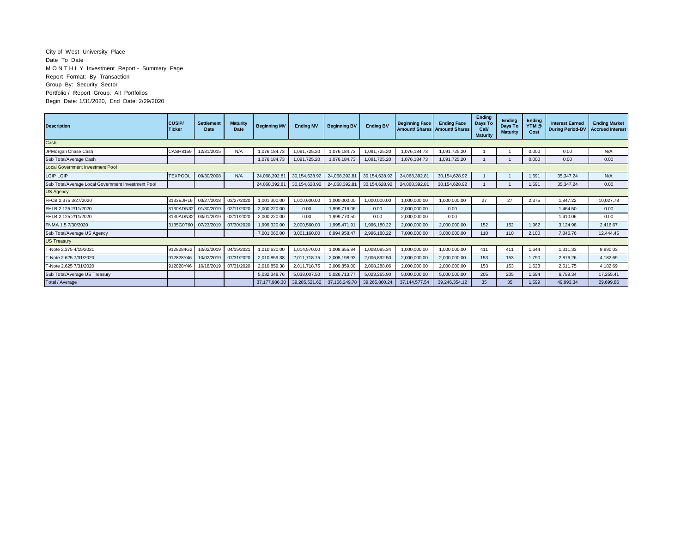## City of West University Place Date To Date M O N T H L Y Investment Report - Summary Page Report Format: By Transaction Group By: Security Sector Portfolio / Report Group: All Portfolios Begin Date: 1/31/2020, End Date: 2/29/2020

| <b>Description</b>                                 | <b>CUSIP/</b><br>Ticker | <b>Settlement</b><br>Date | <b>Maturity</b><br>Date | <b>Beginning MV</b> | <b>Ending MV</b> | <b>Beginning BV</b> | <b>Ending BV</b> | <b>Beginning Face</b><br>Amount/ Shares   Amount/ Shares | <b>Ending Face</b> | Ending<br>Days To<br>Call<br><b>Maturity</b> | Ending<br>Days To<br><b>Maturity</b> | Ending<br>YTM @<br>Cost | <b>Interest Earned</b><br><b>During Period-BV</b> | <b>Ending Market</b><br><b>Accrued Interest</b> |
|----------------------------------------------------|-------------------------|---------------------------|-------------------------|---------------------|------------------|---------------------|------------------|----------------------------------------------------------|--------------------|----------------------------------------------|--------------------------------------|-------------------------|---------------------------------------------------|-------------------------------------------------|
| Cash                                               |                         |                           |                         |                     |                  |                     |                  |                                                          |                    |                                              |                                      |                         |                                                   |                                                 |
| JPMorgan Chase Cash                                | CASH8159                | 12/31/2015                | N/A                     | 1,076,184.73        | ,091,725.20      | 1,076,184.73        | 1,091,725.20     | 1,076,184.73                                             | 1,091,725.20       |                                              |                                      | 0.000                   | 0.00                                              | N/A                                             |
| Sub Total/Average Cash                             |                         |                           |                         | 1.076.184.73        | 1.091.725.20     | 1,076,184.73        | 1,091,725.20     | 1.076.184.73                                             | 1.091.725.20       |                                              |                                      | 0.000                   | 0.00                                              | 0.00                                            |
| <b>Local Government Investment Pool</b>            |                         |                           |                         |                     |                  |                     |                  |                                                          |                    |                                              |                                      |                         |                                                   |                                                 |
| <b>LGIP LGIP</b>                                   | <b>TEXPOOL</b>          | 09/30/2008                | N/A                     | 24.068.392.81       | 30.154.628.92    | 24,068,392.81       | 30,154,628.92    | 24,068,392.81                                            | 30.154.628.92      |                                              |                                      | 1.591                   | 35.347.24                                         | N/A                                             |
| Sub Total/Average Local Government Investment Pool |                         |                           |                         | 24,068,392.81       | 30,154,628.92    | 24,068,392.81       | 30,154,628.92    | 24,068,392.81                                            | 30,154,628.92      |                                              |                                      | 1.591                   | 35,347.24                                         | 0.00                                            |
| <b>US Agency</b>                                   |                         |                           |                         |                     |                  |                     |                  |                                                          |                    |                                              |                                      |                         |                                                   |                                                 |
| FFCB 2.375 3/27/2020                               | 3133EJHL6               | 03/27/2018                | 03/27/2020              | 1,001,300.00        | 1,000,600.00     | 1,000,000.00        | 1,000,000.00     | 1,000,000.00                                             | 1,000,000.00       | 27                                           | 27                                   | 2.375                   | 1,847.22                                          | 10.027.78                                       |
| FHLB 2.125 2/11/2020                               | 3130ADN32               | 01/30/2019                | 02/11/2020              | 2,000,220.00        | 0.00             | 1.999.716.06        | 0.00             | 2.000.000.00                                             | 0.00               |                                              |                                      |                         | 1.464.50                                          | 0.00                                            |
| FHLB 2.125 2/11/2020                               | 3130ADN32               | 03/01/2019                | 02/11/2020              | 2,000,220.00        | 0.00             | 1.999.770.50        | 0.00             | 2,000,000.00                                             | 0.00               |                                              |                                      |                         | 1.410.06                                          | 0.00                                            |
| FNMA 1.5 7/30/2020                                 | 3135G0T60               | 07/23/2019                | 07/30/2020              | 1,999,320.00        | 2,000,560.00     | 1.995.471.91        | 1,996,180.22     | 2,000,000.00                                             | 2,000,000.00       | 152                                          | 152                                  | 1.962                   | 3,124.98                                          | 2.416.67                                        |
| Sub Total/Average US Agency                        |                         |                           |                         | 7,001,060.00        | 3,001,160.00     | 6,994,958.47        | 2,996,180.22     | 7,000,000.00                                             | 3,000,000.00       | 110                                          | 110                                  | 2.100                   | 7,846.76                                          | 12.444.45                                       |
| <b>US Treasury</b>                                 |                         |                           |                         |                     |                  |                     |                  |                                                          |                    |                                              |                                      |                         |                                                   |                                                 |
| T-Note 2.375 4/15/2021                             | 9128284G2               | 10/02/2019                | 04/15/2021              | 1,010,630.00        | 1,014,570.00     | 1.008.655.84        | 1,008,085.34     | 1,000,000.00                                             | 1,000,000.00       | 411                                          | 411                                  | 1.644                   | 1,311.33                                          | 8.890.03                                        |
| T-Note 2.625 7/31/2020                             | 912828Y46               | 10/02/2019                | 07/31/2020              | 2,010,859.38        | 2.011.718.75     | 2,008,198.93        | 2,006,892.50     | 2,000,000.00                                             | 2.000.000.00       | 153                                          | 153                                  | 1.790                   | 2,876.26                                          | 4.182.69                                        |
| T-Note 2.625 7/31/2020                             | 912828Y46               | 10/18/2019                | 07/31/2020              | 2,010,859.38        | 2,011,718.75     | 2,009,859.00        | 2,008,288.06     | 2,000,000.00                                             | 2,000,000.00       | 153                                          | 153                                  | 1.623                   | 2.611.75                                          | 4.182.69                                        |
| Sub Total/Average US Treasury                      |                         |                           |                         | 5,032,348.76        | 5,038,007.50     | 5,026,713.77        | 5,023,265.90     | 5,000,000.00                                             | 5.000.000.00       | 205                                          | 205                                  | 1.694                   | 6,799.34                                          | 17.255.41                                       |
| Total / Average                                    |                         |                           |                         | 37.177.986.30       | 39,285,521.62    | 37, 166, 249. 78    | 39,265,800.24    | 37, 144, 577. 54                                         | 39,246,354.12      | 35                                           | 35                                   | 1.599                   | 49.993.34                                         | 29,699.86                                       |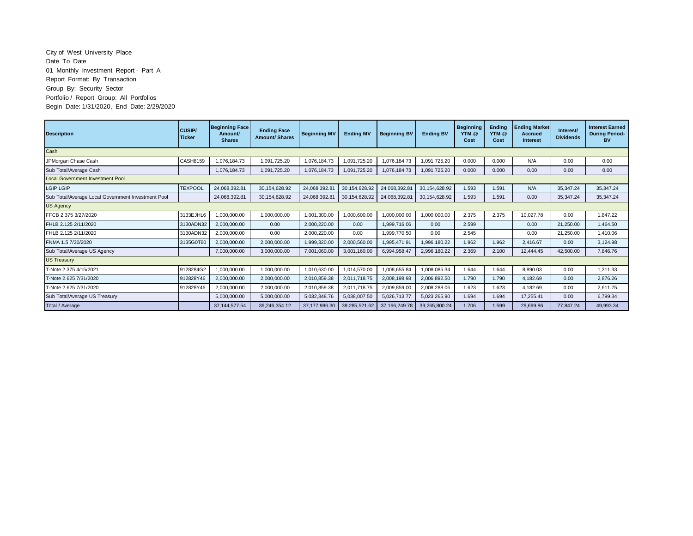## City of West University Place Date To Date 01 Monthly Investment Report - Part A Report Format: By Transaction Group By: Security Sector Portfolio / Report Group: All Portfolios Begin Date: 1/31/2020, End Date: 2/29/2020

| <b>Description</b>                                 | <b>CUSIP/</b><br><b>Ticker</b> | <b>Beginning Face</b><br>Amount/<br><b>Shares</b> | <b>Ending Face</b><br><b>Amount/ Shares</b> | <b>Beginning MV</b> | <b>Ending MV</b> | <b>Beginning BV</b> | <b>Ending BV</b> | <b>Beginning</b><br>YTM @<br>Cost | Ending<br>YTM @<br>Cost | <b>Ending Market</b><br><b>Accrued</b><br><b>Interest</b> | Interest/<br><b>Dividends</b> | <b>Interest Earned</b><br><b>During Period-</b><br><b>BV</b> |
|----------------------------------------------------|--------------------------------|---------------------------------------------------|---------------------------------------------|---------------------|------------------|---------------------|------------------|-----------------------------------|-------------------------|-----------------------------------------------------------|-------------------------------|--------------------------------------------------------------|
| Cash                                               |                                |                                                   |                                             |                     |                  |                     |                  |                                   |                         |                                                           |                               |                                                              |
| JPMorgan Chase Cash                                | <b>CASH8159</b>                | 1,076,184.73                                      | 1,091,725.20                                | 1,076,184.73        | 1,091,725.20     | ,076,184.73         | 1,091,725.20     | 0.000                             | 0.000                   | N/A                                                       | 0.00                          | 0.00                                                         |
| Sub Total/Average Cash                             |                                | 1,076,184.73                                      | 1,091,725.20                                | 1,076,184.73        | 1,091,725.20     | 1,076,184.73        | 1,091,725.20     | 0.000                             | 0.000                   | 0.00                                                      | 0.00                          | 0.00                                                         |
| <b>Local Government Investment Pool</b>            |                                |                                                   |                                             |                     |                  |                     |                  |                                   |                         |                                                           |                               |                                                              |
| <b>LGIP LGIP</b>                                   | <b>TEXPOOL</b>                 | 24.068.392.81                                     | 30.154.628.92                               | 24.068.392.81       | 30.154.628.92    | 24.068.392.81       | 30.154.628.92    | 1.593                             | 1.591                   | N/A                                                       | 35,347.24                     | 35.347.24                                                    |
| Sub Total/Average Local Government Investment Pool |                                | 24,068,392.81                                     | 30,154,628.92                               | 24,068,392.81       | 30, 154, 628. 92 | 24,068,392.81       | 30, 154, 628. 92 | 1.593                             | 1.591                   | 0.00                                                      | 35,347.24                     | 35,347.24                                                    |
| <b>US Agency</b>                                   |                                |                                                   |                                             |                     |                  |                     |                  |                                   |                         |                                                           |                               |                                                              |
| FFCB 2.375 3/27/2020                               | 3133EJHL6                      | 1.000.000.00                                      | 1.000.000.00                                | 1,001,300.00        | 1,000,600.00     | 1.000.000.00        | 1.000.000.00     | 2.375                             | 2.375                   | 10.027.78                                                 | 0.00                          | 1.847.22                                                     |
| FHLB 2.125 2/11/2020                               | 3130ADN32                      | 2,000,000.00                                      | 0.00                                        | 2,000,220.00        | 0.00             | ,999,716.06         | 0.00             | 2.599                             |                         | 0.00                                                      | 21,250.00                     | 1,464.50                                                     |
| FHLB 2.125 2/11/2020                               | 3130ADN32                      | 2,000,000.00                                      | 0.00                                        | 2,000,220.00        | 0.00             | ,999,770.50         | 0.00             | 2.545                             |                         | 0.00                                                      | 21,250.00                     | 1.410.06                                                     |
| FNMA 1.5 7/30/2020                                 | 3135G0T60                      | 2,000,000.00                                      | 2,000,000.00                                | 1,999,320.00        | 2,000,560.00     | 1,995,471.91        | 1,996,180.22     | 1.962                             | 1.962                   | 2.416.67                                                  | 0.00                          | 3,124.98                                                     |
| Sub Total/Average US Agency                        |                                | 7,000,000.00                                      | 3,000,000.00                                | 7,001,060.00        | 3.001.160.00     | 6,994,958.47        | 2,996,180.22     | 2.369                             | 2.100                   | 12,444.45                                                 | 42,500.00                     | 7.846.76                                                     |
| <b>US Treasury</b>                                 |                                |                                                   |                                             |                     |                  |                     |                  |                                   |                         |                                                           |                               |                                                              |
| T-Note 2.375 4/15/2021                             | 9128284G2                      | 1.000.000.00                                      | 1.000.000.00                                | 1,010,630.00        | 1.014.570.00     | 1.008.655.84        | .008.085.34      | 1.644                             | 1.644                   | 8.890.03                                                  | 0.00                          | 1.311.33                                                     |
| T-Note 2.625 7/31/2020                             | 912828Y46                      | 2,000,000.00                                      | 2,000,000.00                                | 2,010,859.38        | 2,011,718.75     | 2,008,198.93        | 2,006,892.50     | 1.790                             | 1.790                   | 4,182.69                                                  | 0.00                          | 2,876.26                                                     |
| T-Note 2.625 7/31/2020                             | 912828Y46                      | 2.000.000.00                                      | 2,000,000.00                                | 2,010,859.38        | 2.011.718.75     | 2,009,859.00        | 2.008.288.06     | 1.623                             | 1.623                   | 4.182.69                                                  | 0.00                          | 2.611.75                                                     |
| Sub Total/Average US Treasury                      |                                | 5,000,000.00                                      | 5,000,000.00                                | 5,032,348.76        | 5,038,007.50     | 5,026,713.77        | 5,023,265.90     | 1.694                             | 1.694                   | 17.255.41                                                 | 0.00                          | 6.799.34                                                     |
| Total / Average                                    |                                | 37, 144, 577.54                                   | 39,246,354.12                               | 37, 177, 986.30     | 39,285,521.62    | 37, 166, 249. 78    | 39,265,800.24    | 1.706                             | 1.599                   | 29,699.86                                                 | 77,847.24                     | 49,993.34                                                    |